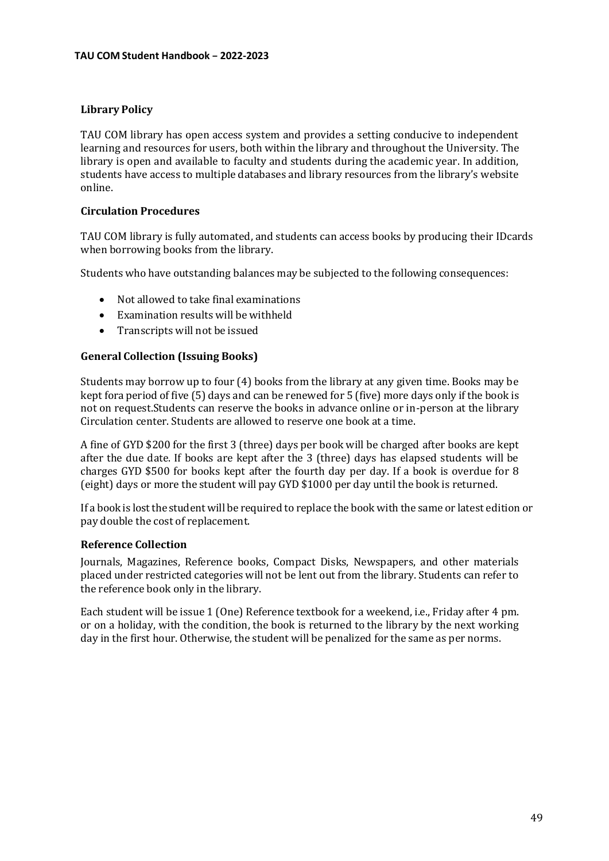# **Library Policy**

TAU COM library has open access system and provides a setting conducive to independent learning and resources for users, both within the library and throughout the University. The library is open and available to faculty and students during the academic year. In addition, students have access to multiple databases and library resources from the library's website online.

## **Circulation Procedures**

TAU COM library is fully automated, and students can access books by producing their IDcards when borrowing books from the library.

Students who have outstanding balances may be subjected to the following consequences:

- Not allowed to take final examinations
- Examination results will be withheld
- Transcripts will not be issued

## **General Collection (Issuing Books)**

Students may borrow up to four (4) books from the library at any given time. Books may be kept fora period of five (5) days and can be renewed for 5 (five) more days only if the book is not on request.Students can reserve the books in advance online or in-person at the library Circulation center. Students are allowed to reserve one book at a time.

A fine of GYD \$200 for the first 3 (three) days per book will be charged after books are kept after the due date. If books are kept after the 3 (three) days has elapsed students will be charges GYD \$500 for books kept after the fourth day per day. If a book is overdue for 8 (eight) days or more the student will pay GYD \$1000 per day until the book is returned.

If a book is lost the student will be required to replace the book with the same or latest edition or pay double the cost of replacement.

#### **Reference Collection**

Journals, Magazines, Reference books, Compact Disks, Newspapers, and other materials placed under restricted categories will not be lent out from the library. Students can refer to the reference book only in the library.

Each student will be issue 1 (One) Reference textbook for a weekend, i.e., Friday after 4 pm. or on a holiday, with the condition, the book is returned to the library by the next working day in the first hour. Otherwise, the student will be penalized for the same as per norms.